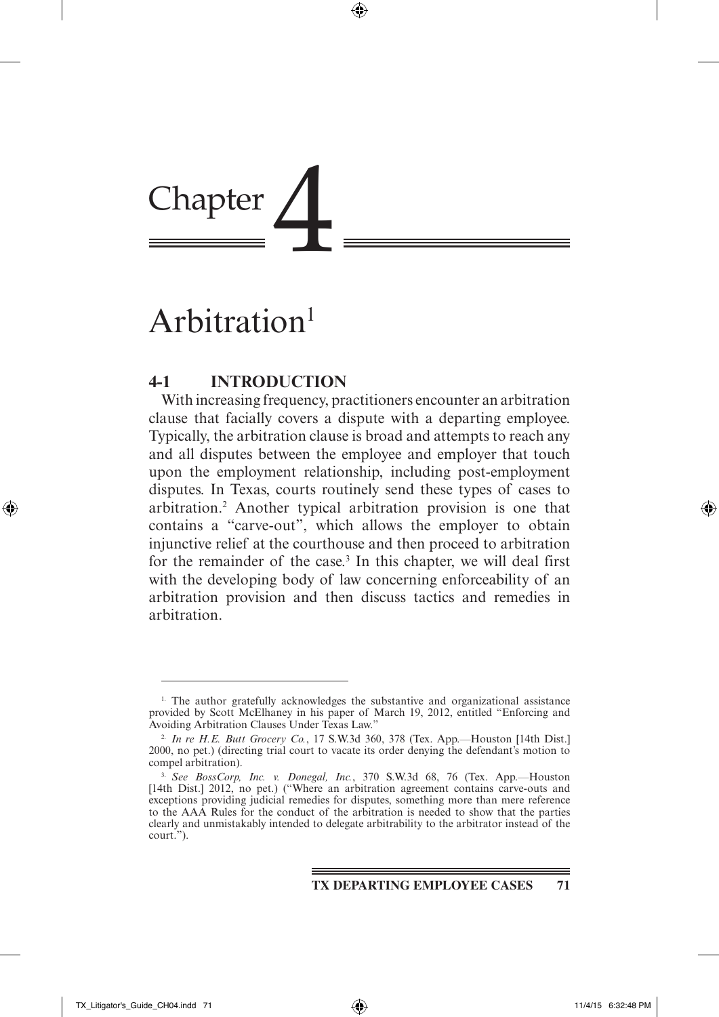# Chapter

# Arbitration<sup>1</sup>

# **4-1 Introduction**

With increasing frequency, practitioners encounter an arbitration clause that facially covers a dispute with a departing employee. Typically, the arbitration clause is broad and attempts to reach any and all disputes between the employee and employer that touch upon the employment relationship, including post-employment disputes. In Texas, courts routinely send these types of cases to arbitration.2 Another typical arbitration provision is one that contains a "carve-out", which allows the employer to obtain injunctive relief at the courthouse and then proceed to arbitration for the remainder of the case.<sup>3</sup> In this chapter, we will deal first with the developing body of law concerning enforceability of an arbitration provision and then discuss tactics and remedies in arbitration.

<sup>1.</sup> The author gratefully acknowledges the substantive and organizational assistance provided by Scott McElhaney in his paper of March 19, 2012, entitled "Enforcing and Avoiding Arbitration Clauses Under Texas Law."

<sup>2.</sup> *In re H.E. Butt Grocery Co.*, 17 S.W.3d 360, 378 (Tex. App.—Houston [14th Dist.] 2000, no pet.) (directing trial court to vacate its order denying the defendant's motion to compel arbitration).

<sup>3.</sup> *See BossCorp, Inc. v. Donegal, Inc.*, 370 S.W.3d 68, 76 (Tex. App.—Houston [14th Dist.] 2012, no pet.) ("Where an arbitration agreement contains carve-outs and exceptions providing judicial remedies for disputes, something more than mere reference to the AAA Rules for the conduct of the arbitration is needed to show that the parties clearly and unmistakably intended to delegate arbitrability to the arbitrator instead of the court.").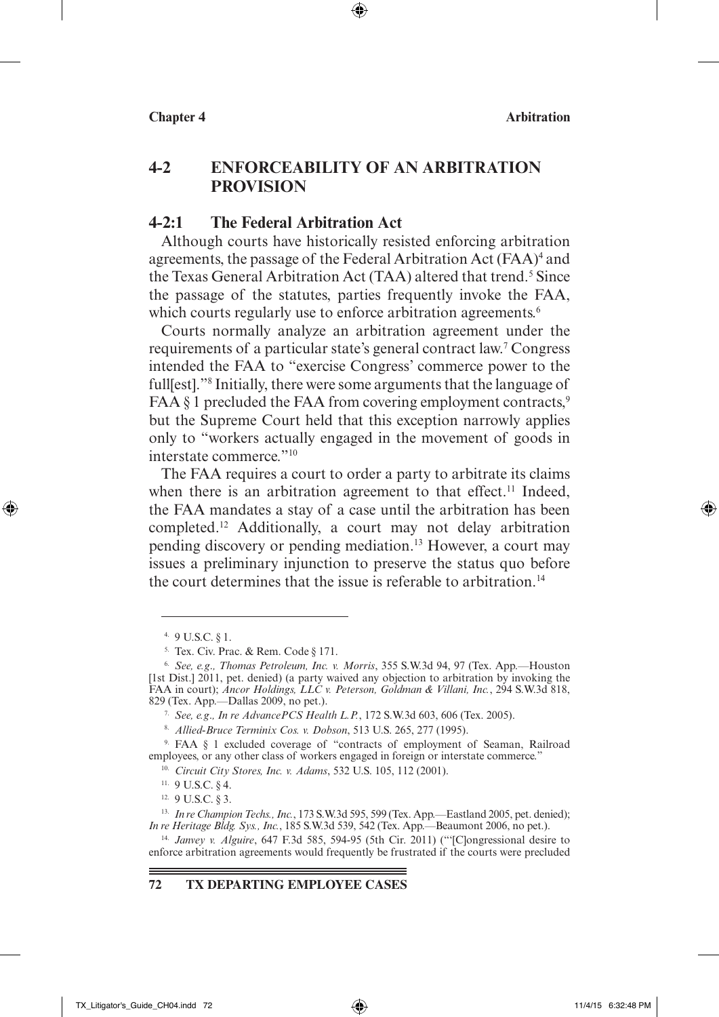# **4-2 Enforceability of an Arbitration Provision**

⊕

### **4-2:1 The Federal Arbitration Act**

Although courts have historically resisted enforcing arbitration agreements, the passage of the Federal Arbitration Act (FAA)<sup>4</sup> and the Texas General Arbitration Act (TAA) altered that trend.<sup>5</sup> Since the passage of the statutes, parties frequently invoke the FAA, which courts regularly use to enforce arbitration agreements.<sup>6</sup>

Courts normally analyze an arbitration agreement under the requirements of a particular state's general contract law.7 Congress intended the FAA to "exercise Congress' commerce power to the full[est]."8 Initially, there were some arguments that the language of FAA  $\S$  1 precluded the FAA from covering employment contracts,<sup>9</sup> but the Supreme Court held that this exception narrowly applies only to "workers actually engaged in the movement of goods in interstate commerce."10

The FAA requires a court to order a party to arbitrate its claims when there is an arbitration agreement to that effect.<sup>11</sup> Indeed, the FAA mandates a stay of a case until the arbitration has been completed.12 Additionally, a court may not delay arbitration pending discovery or pending mediation.13 However, a court may issues a preliminary injunction to preserve the status quo before the court determines that the issue is referable to arbitration.<sup>14</sup>

↔

### **72 TX Departing Employee Cases**

<sup>4.</sup> 9 U.S.C. § 1.

<sup>5.</sup> Tex. Civ. Prac. & Rem. Code § 171.

<sup>6.</sup> *See, e.g*.*, Thomas Petroleum, Inc. v. Morris*, 355 S.W.3d 94, 97 (Tex. App.—Houston [1st Dist.] 2011, pet. denied) (a party waived any objection to arbitration by invoking the FAA in court); *Ancor Holdings, LLC v. Peterson, Goldman & Villani, Inc.*, 294 S.W.3d 818, 829 (Tex. App.—Dallas 2009, no pet.).

<sup>7.</sup> *See, e.g*.*, In re AdvancePCS Health L.P.*, 172 S.W.3d 603, 606 (Tex. 2005).

<sup>8.</sup> *Allied-Bruce Terminix Cos. v. Dobson*, 513 U.S. 265, 277 (1995).

<sup>9.</sup> FAA § 1 excluded coverage of "contracts of employment of Seaman, Railroad employees, or any other class of workers engaged in foreign or interstate commerce."

<sup>10.</sup> *Circuit City Stores, Inc. v. Adams*, 532 U.S. 105, 112 (2001). 11. 9 U.S.C. § 4.

<sup>12.</sup> 9 U.S.C. § 3.

<sup>13.</sup> *In re Champion Techs., Inc.*, 173 S.W.3d 595, 599 (Tex. App.—Eastland 2005, pet. denied); *In re Heritage Bldg. Sys., Inc.*, 185 S.W.3d 539, 542 (Tex. App.—Beaumont 2006, no pet.).

<sup>14.</sup> *Janvey v. Alguire*, 647 F.3d 585, 594-95 (5th Cir. 2011) ("'[C]ongressional desire to enforce arbitration agreements would frequently be frustrated if the courts were precluded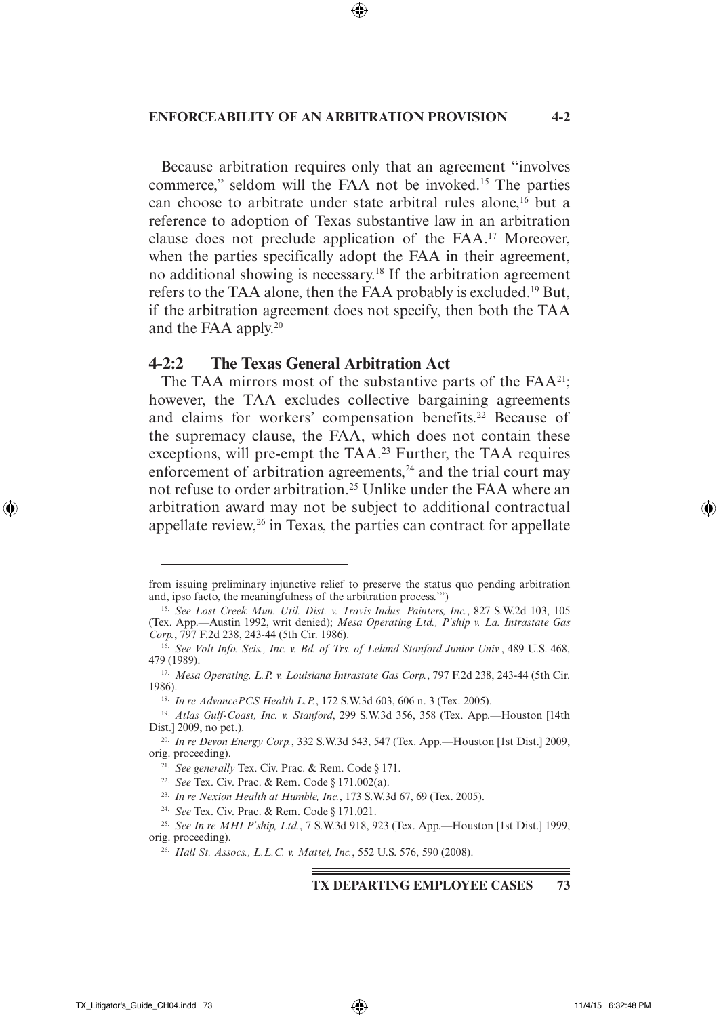### **Enforceability of an Arbitration Provision 4-2**

⊕

Because arbitration requires only that an agreement "involves commerce," seldom will the FAA not be invoked.15 The parties can choose to arbitrate under state arbitral rules alone,<sup>16</sup> but a reference to adoption of Texas substantive law in an arbitration clause does not preclude application of the FAA.17 Moreover, when the parties specifically adopt the FAA in their agreement, no additional showing is necessary.<sup>18</sup> If the arbitration agreement refers to the TAA alone, then the FAA probably is excluded.19 But, if the arbitration agreement does not specify, then both the TAA and the FAA apply.20

### **4-2:2 The Texas General Arbitration Act**

The TAA mirrors most of the substantive parts of the  $FAA^{21}$ ; however, the TAA excludes collective bargaining agreements and claims for workers' compensation benefits.22 Because of the supremacy clause, the FAA, which does not contain these exceptions, will pre-empt the TAA.<sup>23</sup> Further, the TAA requires enforcement of arbitration agreements,<sup>24</sup> and the trial court may not refuse to order arbitration.<sup>25</sup> Unlike under the FAA where an arbitration award may not be subject to additional contractual appellate review,<sup>26</sup> in Texas, the parties can contract for appellate

**TX Departing Employee Cases 73**

⊕

from issuing preliminary injunctive relief to preserve the status quo pending arbitration and, ipso facto, the meaningfulness of the arbitration process.'")

<sup>15.</sup> *See Lost Creek Mun. Util. Dist. v. Travis Indus. Painters, Inc.*, 827 S.W.2d 103, 105 (Tex. App.—Austin 1992, writ denied); *Mesa Operating Ltd., P'ship v. La. Intrastate Gas* 

<sup>&</sup>lt;sup>16.</sup> See Volt Info. Scis., Inc. v. Bd. of Trs. of Leland Stanford Junior Univ., 489 U.S. 468, 479 (1989).

<sup>17.</sup> *Mesa Operating, L.P. v. Louisiana Intrastate Gas Corp.*, 797 F.2d 238, 243-44 (5th Cir. 1986).

<sup>18.</sup> *In re AdvancePCS Health L.P.*, 172 S.W.3d 603, 606 n. 3 (Tex. 2005).

<sup>19.</sup> *Atlas Gulf-Coast, Inc. v. Stanford*, 299 S.W.3d 356, 358 (Tex. App.—Houston [14th Dist.] 2009, no pet.).

<sup>20.</sup> *In re Devon Energy Corp.*, 332 S.W.3d 543, 547 (Tex. App.—Houston [1st Dist.] 2009, orig. proceeding).

<sup>21.</sup> *See generally* Tex. Civ. Prac. & Rem. Code § 171.

<sup>22.</sup> *See* Tex. Civ. Prac. & Rem. Code § 171.002(a).

<sup>23.</sup> *In re Nexion Health at Humble, Inc.*, 173 S.W.3d 67, 69 (Tex. 2005).

<sup>24.</sup> *See* Tex. Civ. Prac. & Rem. Code § 171.021.

<sup>25.</sup> *See In re MHI P'ship, Ltd.*, 7 S.W.3d 918, 923 (Tex. App.—Houston [1st Dist.] 1999, orig. proceeding).

<sup>26.</sup> *Hall St. Assocs., L.L.C. v. Mattel, Inc.*, 552 U.S. 576, 590 (2008).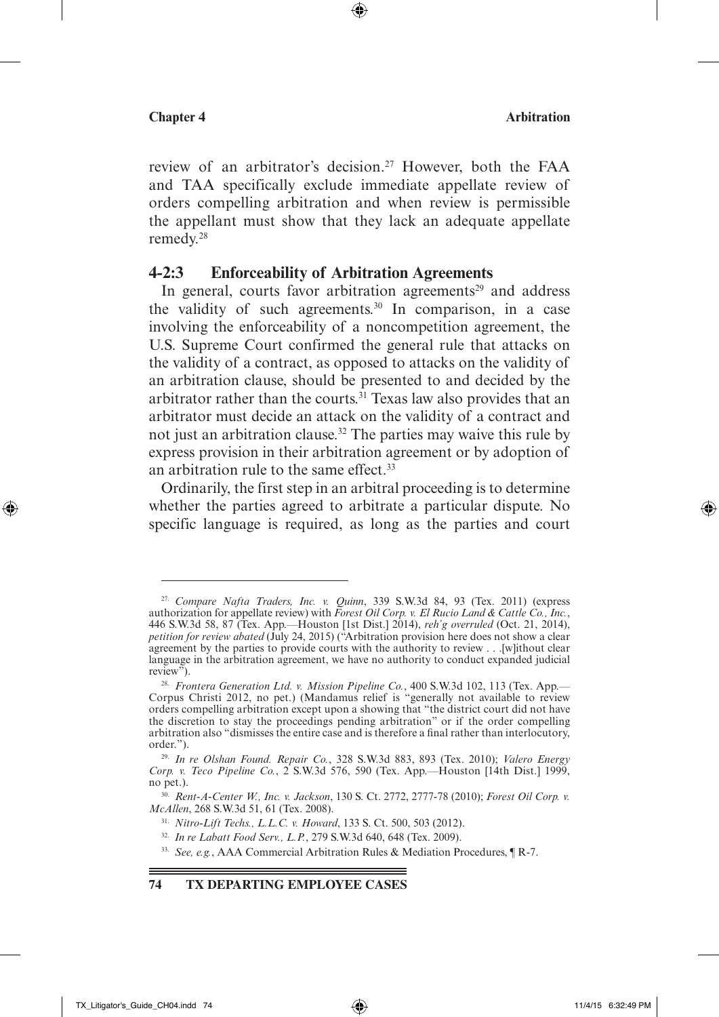review of an arbitrator's decision.<sup>27</sup> However, both the FAA and TAA specifically exclude immediate appellate review of orders compelling arbitration and when review is permissible the appellant must show that they lack an adequate appellate remedy.28

⊕

### **4-2:3 Enforceability of Arbitration Agreements**

In general, courts favor arbitration agreements<sup>29</sup> and address the validity of such agreements.<sup>30</sup> In comparison, in a case involving the enforceability of a noncompetition agreement, the U.S. Supreme Court confirmed the general rule that attacks on the validity of a contract, as opposed to attacks on the validity of an arbitration clause, should be presented to and decided by the arbitrator rather than the courts.<sup>31</sup> Texas law also provides that an arbitrator must decide an attack on the validity of a contract and not just an arbitration clause.<sup>32</sup> The parties may waive this rule by express provision in their arbitration agreement or by adoption of an arbitration rule to the same effect.<sup>33</sup>

Ordinarily, the first step in an arbitral proceeding is to determine whether the parties agreed to arbitrate a particular dispute. No specific language is required, as long as the parties and court

↔

 $\leftrightarrow$ 

<sup>27.</sup> *Compare Nafta Traders, Inc. v. Quinn*, 339 S.W.3d 84, 93 (Tex. 2011) (express authorization for appellate review) with *Forest Oil Corp. v. El Rucio Land & Cattle Co., Inc.*, 446 S.W.3d 58, 87 (Tex. App.—Houston [1st Dist.] 2014), *reh'g overruled* (Oct. 21, 2014), *petition for review abated* (July 24, 2015) ("Arbitration provision here does not show a clear agreement by the parties to provide courts with the authority to review . . .[w]ithout clear language in the arbitration agreement, we have no authority to conduct expanded judicial review"). review").<br><sup>28.</sup> *Frontera Generation Ltd. v. Mission Pipeline Co.*, 400 S.W.3d 102, 113 (Tex. App.—

Corpus Christi 2012, no pet.) (Mandamus relief is "generally not available to review orders compelling arbitration except upon a showing that "the district court did not have the discretion to stay the proceedings pending arbitration" or if the order compelling arbitration also "dismisses the entire case and is therefore a final rather than interlocutory, order.").

<sup>29.</sup> *In re Olshan Found. Repair Co.*, 328 S.W.3d 883, 893 (Tex. 2010); *Valero Energy Corp. v. Teco Pipeline Co.*, 2 S.W.3d 576, 590 (Tex. App.—Houston [14th Dist.] 1999, no pet.).

<sup>30.</sup> *Rent-A-Center W., Inc. v. Jackson*, 130 S. Ct. 2772, 2777-78 (2010); *Forest Oil Corp. v. McAllen*, 268 S.W.3d 51, 61 (Tex. 2008).

<sup>31.</sup> *Nitro-Lift Techs., L.L.C. v. Howard*, 133 S. Ct. 500, 503 (2012).

<sup>32.</sup> *In re Labatt Food Serv., L.P.*, 279 S.W.3d 640, 648 (Tex. 2009).

<sup>33.</sup> *See, e.g.*, AAA Commercial Arbitration Rules & Mediation Procedures, ¶ R-7.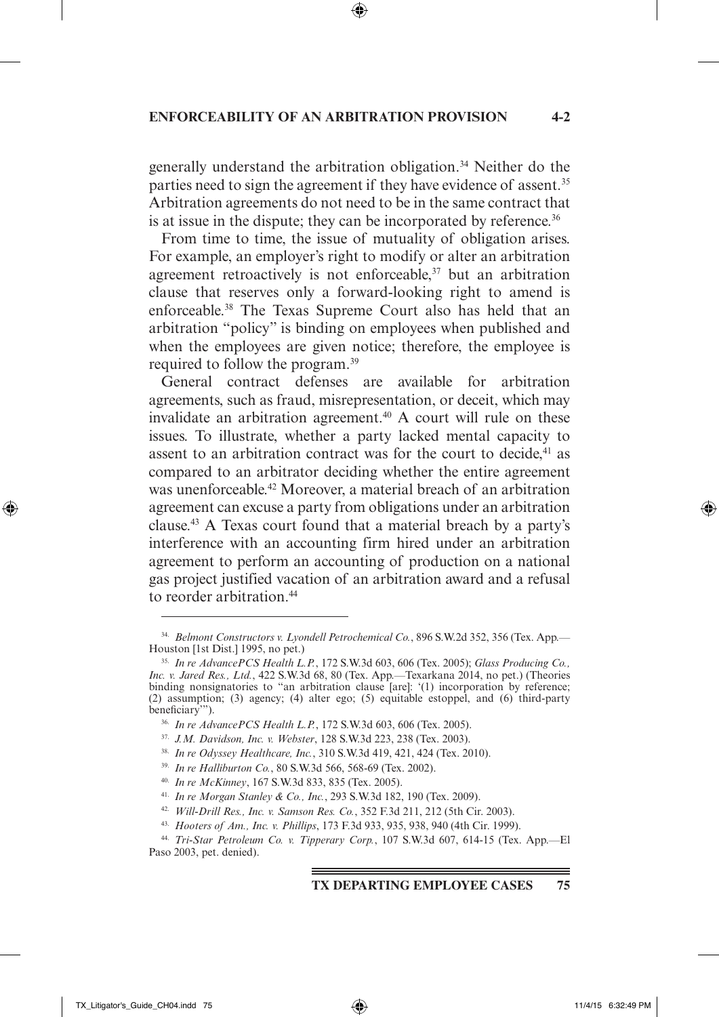### **Enforceability of an Arbitration Provision 4-2**

⊕

generally understand the arbitration obligation.34 Neither do the parties need to sign the agreement if they have evidence of assent.<sup>35</sup> Arbitration agreements do not need to be in the same contract that is at issue in the dispute; they can be incorporated by reference.<sup>36</sup>

From time to time, the issue of mutuality of obligation arises. For example, an employer's right to modify or alter an arbitration agreement retroactively is not enforceable, $37$  but an arbitration clause that reserves only a forward-looking right to amend is enforceable.38 The Texas Supreme Court also has held that an arbitration "policy" is binding on employees when published and when the employees are given notice; therefore, the employee is required to follow the program.39

General contract defenses are available for arbitration agreements, such as fraud, misrepresentation, or deceit, which may invalidate an arbitration agreement.<sup>40</sup> A court will rule on these issues. To illustrate, whether a party lacked mental capacity to assent to an arbitration contract was for the court to decide,<sup>41</sup> as compared to an arbitrator deciding whether the entire agreement was unenforceable.<sup>42</sup> Moreover, a material breach of an arbitration agreement can excuse a party from obligations under an arbitration clause.43 A Texas court found that a material breach by a party's interference with an accounting firm hired under an arbitration agreement to perform an accounting of production on a national gas project justified vacation of an arbitration award and a refusal to reorder arbitration.<sup>44</sup>

### **TX Departing Employee Cases 75**

⊕

<sup>34.</sup> *Belmont Constructors v. Lyondell Petrochemical Co.*, 896 S.W.2d 352, 356 (Tex. App.— Houston [1st Dist.] 1995, no pet.)

<sup>35.</sup> *In re AdvancePCS Health L.P.*, 172 S.W.3d 603, 606 (Tex. 2005); *Glass Producing Co., Inc. v. Jared Res., Ltd.*, 422 S.W.3d 68, 80 (Tex. App.—Texarkana 2014, no pet.) (Theories binding nonsignatories to "an arbitration clause [are]: '(1) incorporation by reference; (2) assumption; (3) agency; (4) alter ego; (5) equitable estoppel, and (6) third-party beneficiary'").

<sup>36.</sup> *In re AdvancePCS Health L.P.*, 172 S.W.3d 603, 606 (Tex. 2005). 37. *J.M. Davidson, Inc. v. Webster*, 128 S.W.3d 223, 238 (Tex. 2003).

<sup>38.</sup> *In re Odyssey Healthcare, Inc.*, 310 S.W.3d 419, 421, 424 (Tex. 2010).

<sup>39.</sup> *In re Halliburton Co.*, 80 S.W.3d 566, 568-69 (Tex. 2002).

<sup>40.</sup> *In re McKinney*, 167 S.W.3d 833, 835 (Tex. 2005).

<sup>41.</sup> *In re Morgan Stanley & Co., Inc.*, 293 S.W.3d 182, 190 (Tex. 2009).

<sup>42.</sup> *Will-Drill Res., Inc. v. Samson Res. Co.*, 352 F.3d 211, 212 (5th Cir. 2003).

<sup>43.</sup> *Hooters of Am., Inc. v. Phillips*, 173 F.3d 933, 935, 938, 940 (4th Cir. 1999).

<sup>44.</sup> *Tri-Star Petroleum Co. v. Tipperary Corp.*, 107 S.W.3d 607, 614-15 (Tex. App.—El Paso 2003, pet. denied).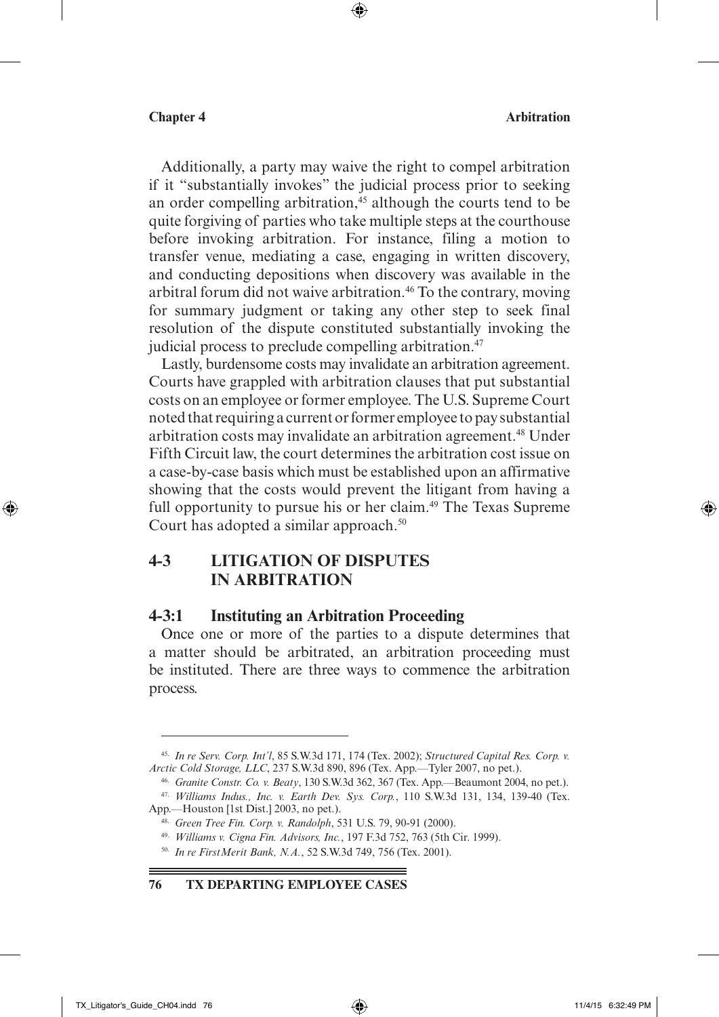Additionally, a party may waive the right to compel arbitration if it "substantially invokes" the judicial process prior to seeking an order compelling arbitration,<sup>45</sup> although the courts tend to be quite forgiving of parties who take multiple steps at the courthouse before invoking arbitration. For instance, filing a motion to transfer venue, mediating a case, engaging in written discovery, and conducting depositions when discovery was available in the arbitral forum did not waive arbitration.<sup>46</sup> To the contrary, moving for summary judgment or taking any other step to seek final resolution of the dispute constituted substantially invoking the judicial process to preclude compelling arbitration.<sup>47</sup>

 $\textcircled{\scriptsize{+}}$ 

Lastly, burdensome costs may invalidate an arbitration agreement. Courts have grappled with arbitration clauses that put substantial costs on an employee or former employee. The U.S. Supreme Court noted that requiring a current or former employee to pay substantial arbitration costs may invalidate an arbitration agreement.<sup>48</sup> Under Fifth Circuit law, the court determines the arbitration cost issue on a case-by-case basis which must be established upon an affirmative showing that the costs would prevent the litigant from having a full opportunity to pursue his or her claim.<sup>49</sup> The Texas Supreme Court has adopted a similar approach.<sup>50</sup>

# **4-3 Litigation of Disputes in Arbitration**

### **4-3:1 Instituting an Arbitration Proceeding**

Once one or more of the parties to a dispute determines that a matter should be arbitrated, an arbitration proceeding must be instituted. There are three ways to commence the arbitration process.

↔

<sup>45.</sup> *In re Serv. Corp. Int'l*, 85 S.W.3d 171, 174 (Tex. 2002); *Structured Capital Res. Corp. v. Arctic Cold Storage, LLC*, 237 S.W.3d 890, 896 (Tex. App.—Tyler 2007, no pet.).

<sup>46.</sup> *Granite Constr. Co. v. Beaty*, 130 S.W.3d 362, 367 (Tex. App.—Beaumont 2004, no pet.).

<sup>47.</sup> *Williams Indus., Inc. v. Earth Dev. Sys. Corp.*, 110 S.W.3d 131, 134, 139-40 (Tex. App.—Houston [1st Dist.] 2003, no pet.).

<sup>48.</sup> *Green Tree Fin. Corp. v. Randolph*, 531 U.S. 79, 90-91 (2000).

<sup>49.</sup> *Williams v. Cigna Fin. Advisors, Inc.*, 197 F.3d 752, 763 (5th Cir. 1999).

<sup>50.</sup> *In re FirstMerit Bank, N.A.*, 52 S.W.3d 749, 756 (Tex. 2001).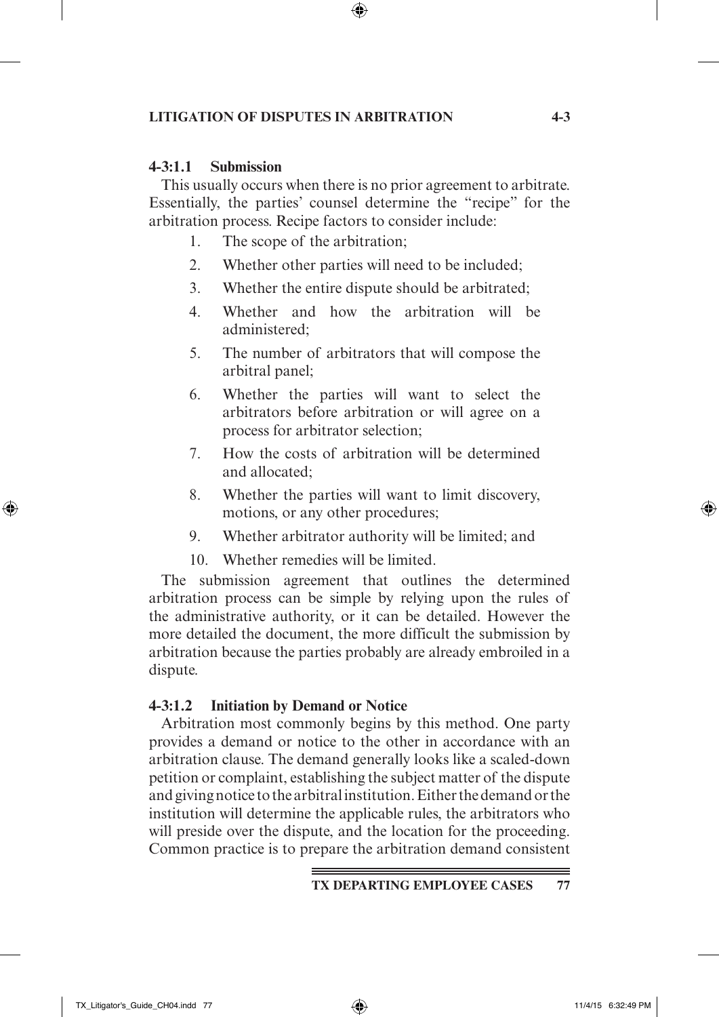### **Litigation of Disputes in Arbitration 4-3**

### **4-3:1.1 Submission**

This usually occurs when there is no prior agreement to arbitrate. Essentially, the parties' counsel determine the "recipe" for the arbitration process. Recipe factors to consider include:

 $\textcircled{\scriptsize{*}}$ 

- 1. The scope of the arbitration;
- 2. Whether other parties will need to be included;
- 3. Whether the entire dispute should be arbitrated;
- 4. Whether and how the arbitration will be administered;
- 5. The number of arbitrators that will compose the arbitral panel;
- 6. Whether the parties will want to select the arbitrators before arbitration or will agree on a process for arbitrator selection;
- 7. How the costs of arbitration will be determined and allocated;
- 8. Whether the parties will want to limit discovery, motions, or any other procedures;
- 9. Whether arbitrator authority will be limited; and
- 10. Whether remedies will be limited.

The submission agreement that outlines the determined arbitration process can be simple by relying upon the rules of the administrative authority, or it can be detailed. However the more detailed the document, the more difficult the submission by arbitration because the parties probably are already embroiled in a dispute.

### **4-3:1.2 Initiation by Demand or Notice**

Arbitration most commonly begins by this method. One party provides a demand or notice to the other in accordance with an arbitration clause. The demand generally looks like a scaled-down petition or complaint, establishing the subject matter of the dispute and giving notice to the arbitral institution. Either the demand or the institution will determine the applicable rules, the arbitrators who will preside over the dispute, and the location for the proceeding. Common practice is to prepare the arbitration demand consistent

⊕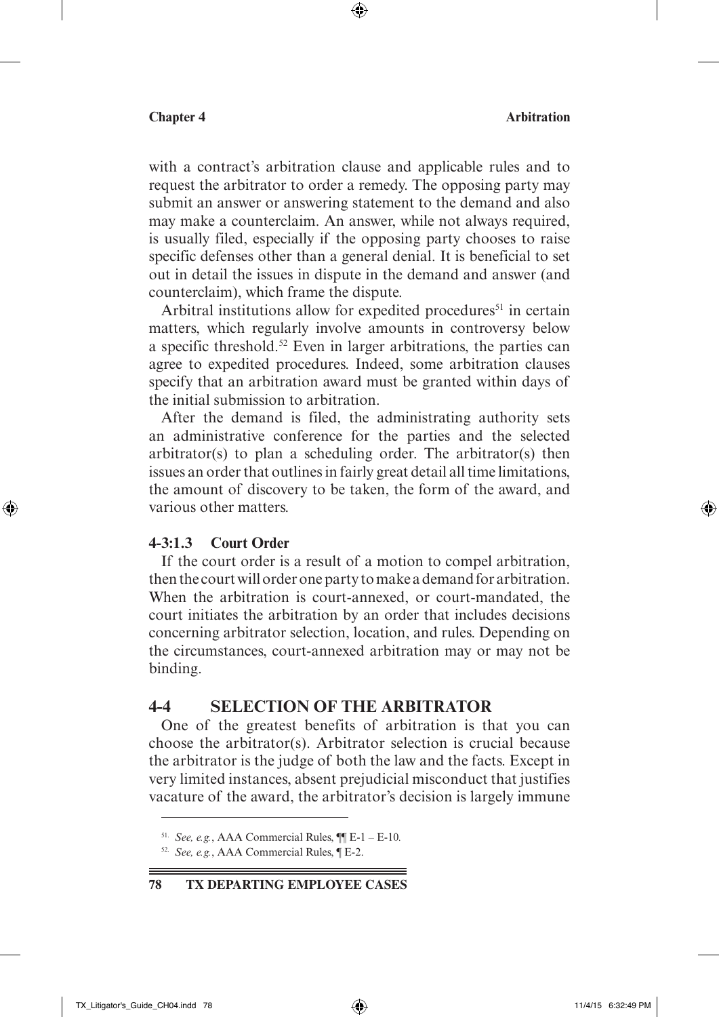with a contract's arbitration clause and applicable rules and to request the arbitrator to order a remedy. The opposing party may submit an answer or answering statement to the demand and also may make a counterclaim. An answer, while not always required, is usually filed, especially if the opposing party chooses to raise specific defenses other than a general denial. It is beneficial to set out in detail the issues in dispute in the demand and answer (and counterclaim), which frame the dispute.

 $\textcircled{\scriptsize{+}}$ 

Arbitral institutions allow for expedited procedures<sup>51</sup> in certain matters, which regularly involve amounts in controversy below a specific threshold.52 Even in larger arbitrations, the parties can agree to expedited procedures. Indeed, some arbitration clauses specify that an arbitration award must be granted within days of the initial submission to arbitration.

After the demand is filed, the administrating authority sets an administrative conference for the parties and the selected  $arbitrary(s)$  to plan a scheduling order. The arbitrator(s) then issues an order that outlines in fairly great detail all time limitations, the amount of discovery to be taken, the form of the award, and various other matters.

### **4-3:1.3 Court Order**

↔

If the court order is a result of a motion to compel arbitration, then the court will order one party to make a demand for arbitration. When the arbitration is court-annexed, or court-mandated, the court initiates the arbitration by an order that includes decisions concerning arbitrator selection, location, and rules. Depending on the circumstances, court-annexed arbitration may or may not be binding.

# **4-4 Selection of the Arbitrator**

One of the greatest benefits of arbitration is that you can choose the arbitrator(s). Arbitrator selection is crucial because the arbitrator is the judge of both the law and the facts. Except in very limited instances, absent prejudicial misconduct that justifies vacature of the award, the arbitrator's decision is largely immune

**78 TX Departing Employee Cases**

TX\_Litigator's\_Guide\_CH04.indd 78 11/4/15 6:32:49 PM

<sup>51.</sup> *See, e.g.*, AAA Commercial Rules, ¶¶ E-1 – E-10*.* 

<sup>52.</sup> *See, e.g.*, AAA Commercial Rules, ¶ E-2.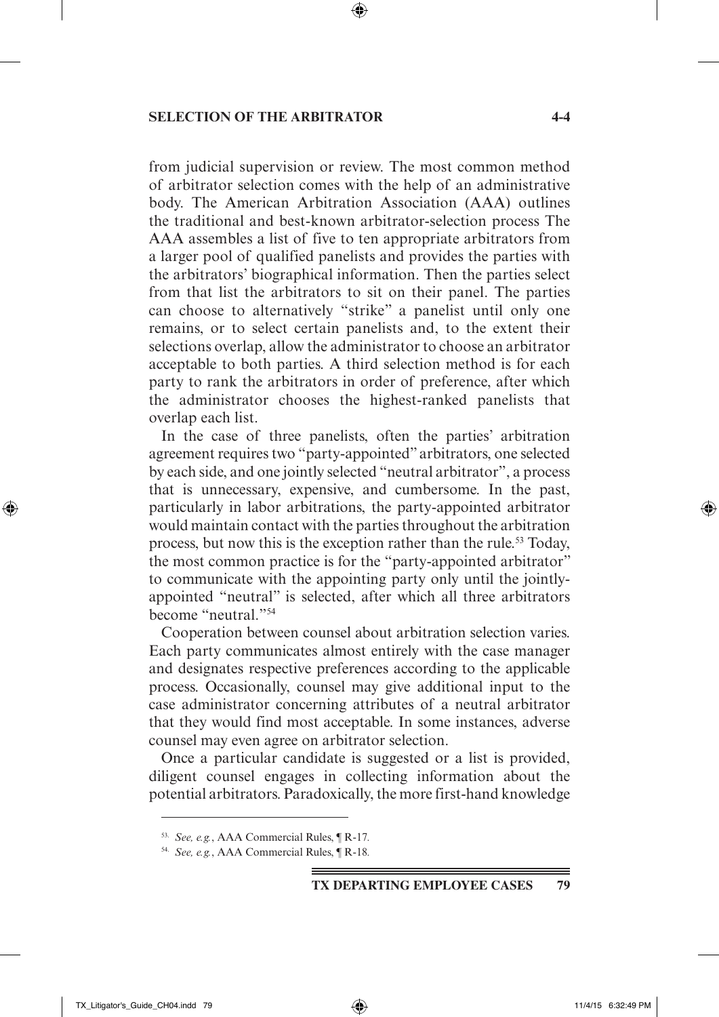### **Selection of the Arbitrator 4-4**

from judicial supervision or review. The most common method of arbitrator selection comes with the help of an administrative body. The American Arbitration Association (AAA) outlines the traditional and best-known arbitrator-selection process The AAA assembles a list of five to ten appropriate arbitrators from a larger pool of qualified panelists and provides the parties with the arbitrators' biographical information. Then the parties select from that list the arbitrators to sit on their panel. The parties can choose to alternatively "strike" a panelist until only one remains, or to select certain panelists and, to the extent their selections overlap, allow the administrator to choose an arbitrator acceptable to both parties. A third selection method is for each party to rank the arbitrators in order of preference, after which the administrator chooses the highest-ranked panelists that overlap each list.

 $\textcircled{\scriptsize{+}}$ 

In the case of three panelists, often the parties' arbitration agreement requires two "party-appointed" arbitrators, one selected by each side, and one jointly selected "neutral arbitrator", a process that is unnecessary, expensive, and cumbersome. In the past, particularly in labor arbitrations, the party-appointed arbitrator would maintain contact with the parties throughout the arbitration process, but now this is the exception rather than the rule.<sup>53</sup> Today, the most common practice is for the "party-appointed arbitrator" to communicate with the appointing party only until the jointlyappointed "neutral" is selected, after which all three arbitrators become "neutral."54

Cooperation between counsel about arbitration selection varies. Each party communicates almost entirely with the case manager and designates respective preferences according to the applicable process. Occasionally, counsel may give additional input to the case administrator concerning attributes of a neutral arbitrator that they would find most acceptable. In some instances, adverse counsel may even agree on arbitrator selection.

Once a particular candidate is suggested or a list is provided, diligent counsel engages in collecting information about the potential arbitrators. Paradoxically, the more first-hand knowledge

↔

<sup>53.</sup> *See, e.g.*, AAA Commercial Rules, ¶ R-17*.* 

<sup>54.</sup> *See, e.g.*, AAA Commercial Rules, ¶ R-18*.*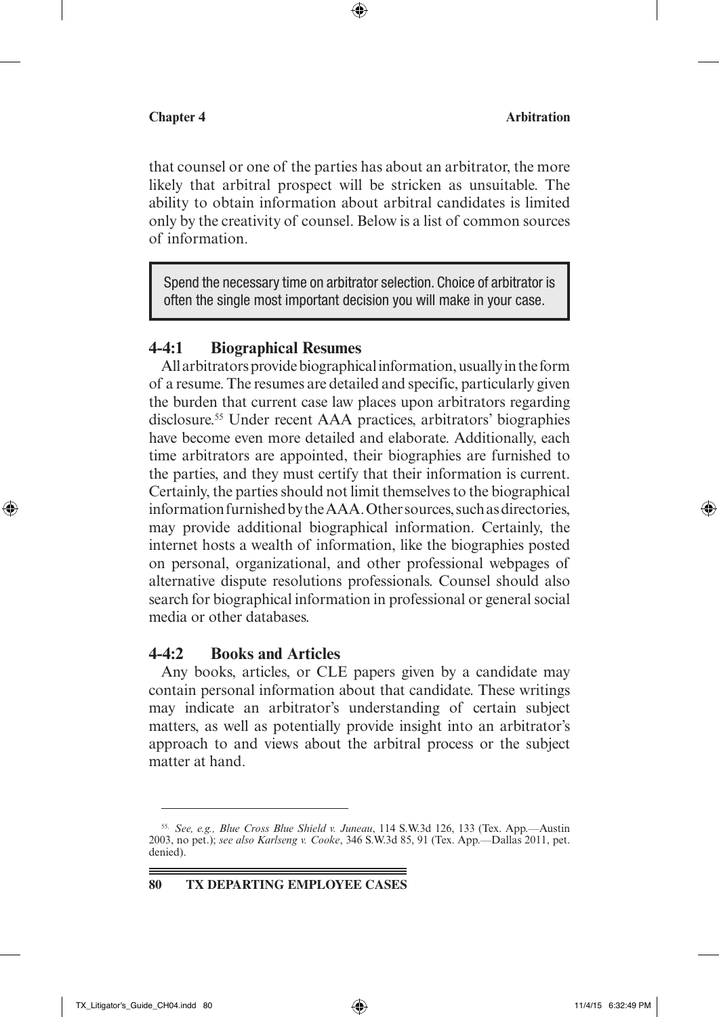that counsel or one of the parties has about an arbitrator, the more likely that arbitral prospect will be stricken as unsuitable. The ability to obtain information about arbitral candidates is limited only by the creativity of counsel. Below is a list of common sources of information.

 $\textcircled{\scriptsize{+}}$ 

Spend the necessary time on arbitrator selection. Choice of arbitrator is often the single most important decision you will make in your case.

### **4-4:1 Biographical Resumes**

All arbitrators provide biographical information, usually in the form of a resume. The resumes are detailed and specific, particularly given the burden that current case law places upon arbitrators regarding disclosure.55 Under recent AAA practices, arbitrators' biographies have become even more detailed and elaborate. Additionally, each time arbitrators are appointed, their biographies are furnished to the parties, and they must certify that their information is current. Certainly, the parties should not limit themselves to the biographical information furnished by the AAA. Other sources, such as directories, may provide additional biographical information. Certainly, the internet hosts a wealth of information, like the biographies posted on personal, organizational, and other professional webpages of alternative dispute resolutions professionals. Counsel should also search for biographical information in professional or general social media or other databases.

### **4-4:2 Books and Articles**

Any books, articles, or CLE papers given by a candidate may contain personal information about that candidate. These writings may indicate an arbitrator's understanding of certain subject matters, as well as potentially provide insight into an arbitrator's approach to and views about the arbitral process or the subject matter at hand.

**80 TX Departing Employee Cases**

↔

<sup>55.</sup> *See, e.g., Blue Cross Blue Shield v. Juneau*, 114 S.W.3d 126, 133 (Tex. App.—Austin 2003, no pet.); *see also Karlseng v. Cooke*, 346 S.W.3d 85, 91 (Tex. App.—Dallas 2011, pet. denied).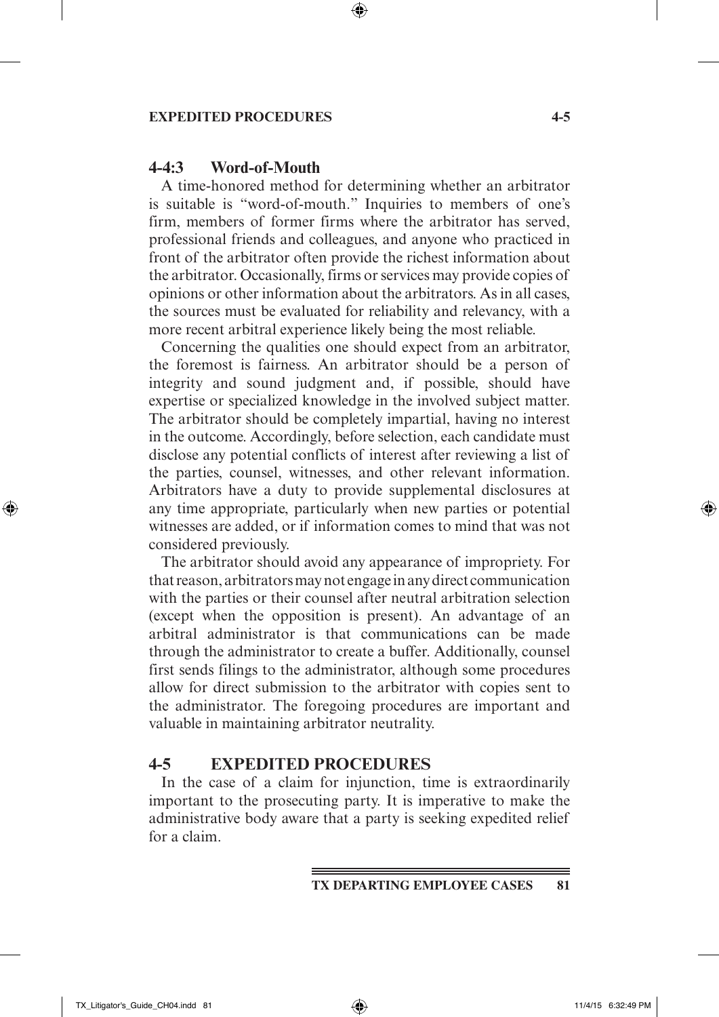### **Expedited Procedures 4-5**

### **4-4:3 Word-of-Mouth**

A time-honored method for determining whether an arbitrator is suitable is "word-of-mouth." Inquiries to members of one's firm, members of former firms where the arbitrator has served, professional friends and colleagues, and anyone who practiced in front of the arbitrator often provide the richest information about the arbitrator. Occasionally, firms or services may provide copies of opinions or other information about the arbitrators. As in all cases, the sources must be evaluated for reliability and relevancy, with a more recent arbitral experience likely being the most reliable.

 $\textcircled{\scriptsize{+}}$ 

Concerning the qualities one should expect from an arbitrator, the foremost is fairness. An arbitrator should be a person of integrity and sound judgment and, if possible, should have expertise or specialized knowledge in the involved subject matter. The arbitrator should be completely impartial, having no interest in the outcome. Accordingly, before selection, each candidate must disclose any potential conflicts of interest after reviewing a list of the parties, counsel, witnesses, and other relevant information. Arbitrators have a duty to provide supplemental disclosures at any time appropriate, particularly when new parties or potential witnesses are added, or if information comes to mind that was not considered previously.

The arbitrator should avoid any appearance of impropriety. For that reason, arbitrators may not engage in any direct communication with the parties or their counsel after neutral arbitration selection (except when the opposition is present). An advantage of an arbitral administrator is that communications can be made through the administrator to create a buffer. Additionally, counsel first sends filings to the administrator, although some procedures allow for direct submission to the arbitrator with copies sent to the administrator. The foregoing procedures are important and valuable in maintaining arbitrator neutrality.

### **4-5 Expedited Procedures**

In the case of a claim for injunction, time is extraordinarily important to the prosecuting party. It is imperative to make the administrative body aware that a party is seeking expedited relief for a claim.

⊕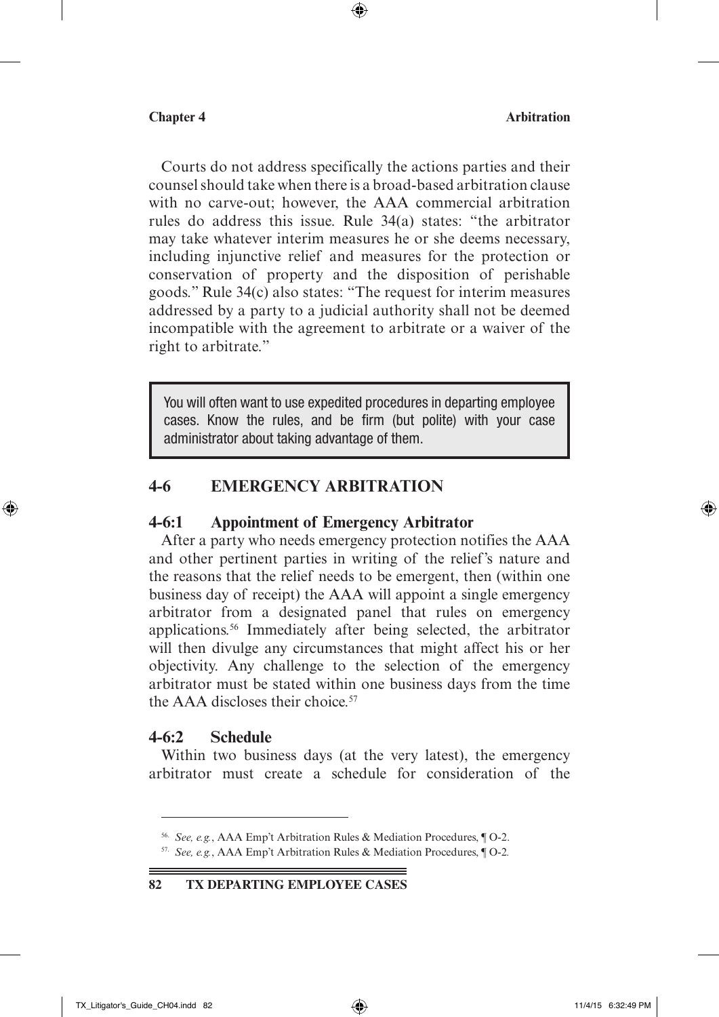Courts do not address specifically the actions parties and their counsel should take when there is a broad-based arbitration clause with no carve-out; however, the AAA commercial arbitration rules do address this issue. Rule 34(a) states: "the arbitrator may take whatever interim measures he or she deems necessary, including injunctive relief and measures for the protection or conservation of property and the disposition of perishable goods." Rule 34(c) also states: "The request for interim measures addressed by a party to a judicial authority shall not be deemed incompatible with the agreement to arbitrate or a waiver of the right to arbitrate."

 $\textcircled{\scriptsize{+}}$ 

You will often want to use expedited procedures in departing employee cases. Know the rules, and be firm (but polite) with your case administrator about taking advantage of them.

# **4-6 Emergency Arbitration**

### **4-6:1 Appointment of Emergency Arbitrator**

After a party who needs emergency protection notifies the AAA and other pertinent parties in writing of the relief's nature and the reasons that the relief needs to be emergent, then (within one business day of receipt) the AAA will appoint a single emergency arbitrator from a designated panel that rules on emergency applications.56 Immediately after being selected, the arbitrator will then divulge any circumstances that might affect his or her objectivity. Any challenge to the selection of the emergency arbitrator must be stated within one business days from the time the  $AAA$  discloses their choice.<sup>57</sup>

### **4-6:2 Schedule**

Within two business days (at the very latest), the emergency arbitrator must create a schedule for consideration of the

⊕

<sup>56.</sup> *See, e.g.*, AAA Emp't Arbitration Rules & Mediation Procedures, ¶ O-2.

<sup>57.</sup> *See, e.g.*, AAA Emp't Arbitration Rules & Mediation Procedures, ¶ O-2*.*

**<sup>82</sup> TX Departing Employee Cases**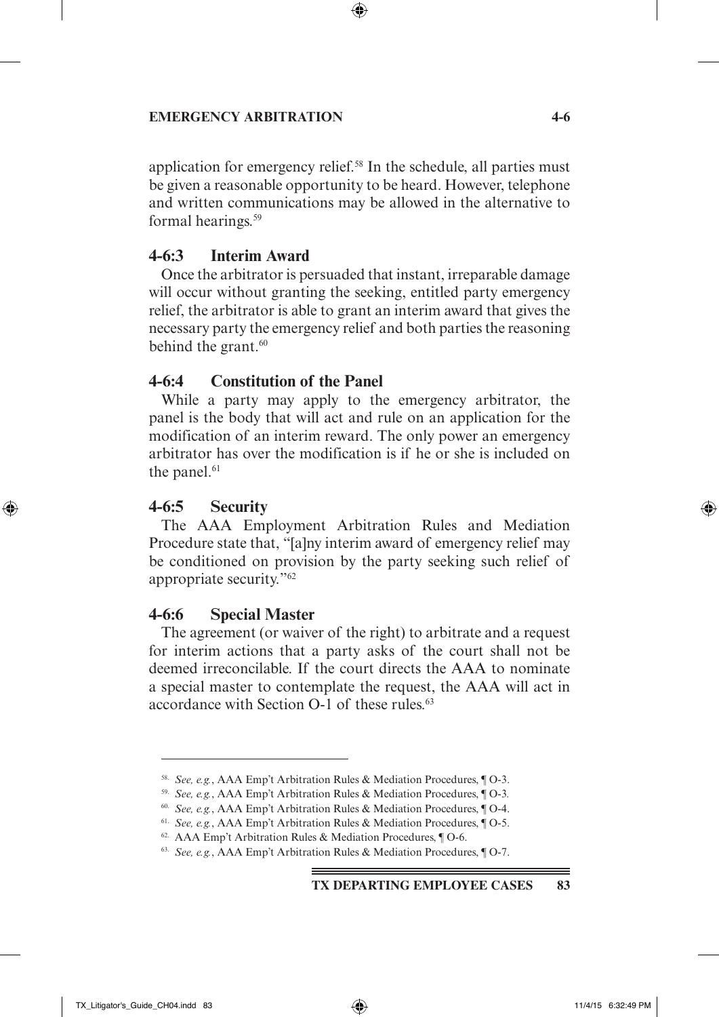### **EMERGENCY ARBITRATION** 4-6

application for emergency relief.<sup>58</sup> In the schedule, all parties must be given a reasonable opportunity to be heard. However, telephone and written communications may be allowed in the alternative to formal hearings.<sup>59</sup>

 $\textcircled{\scriptsize{+}}$ 

### **4-6:3 Interim Award**

Once the arbitrator is persuaded that instant, irreparable damage will occur without granting the seeking, entitled party emergency relief, the arbitrator is able to grant an interim award that gives the necessary party the emergency relief and both parties the reasoning behind the grant. $60$ 

### **4-6:4 Constitution of the Panel**

While a party may apply to the emergency arbitrator, the panel is the body that will act and rule on an application for the modification of an interim reward. The only power an emergency arbitrator has over the modification is if he or she is included on the panel. $61$ 

### **4-6:5 Security**

↔

The AAA Employment Arbitration Rules and Mediation Procedure state that, "[a]ny interim award of emergency relief may be conditioned on provision by the party seeking such relief of appropriate security."62

### **4-6:6 Special Master**

The agreement (or waiver of the right) to arbitrate and a request for interim actions that a party asks of the court shall not be deemed irreconcilable. If the court directs the AAA to nominate a special master to contemplate the request, the AAA will act in accordance with Section O-1 of these rules.<sup>63</sup>

### **TX Departing Employee Cases 83**

↔

<sup>58.</sup> *See, e.g.*, AAA Emp't Arbitration Rules & Mediation Procedures, ¶ O-3.

<sup>59.</sup> *See, e.g.*, AAA Emp't Arbitration Rules & Mediation Procedures, ¶ O-3*.*

<sup>60.</sup> *See, e.g.*, AAA Emp't Arbitration Rules & Mediation Procedures, ¶ O-4.

<sup>61.</sup> *See, e.g.*, AAA Emp't Arbitration Rules & Mediation Procedures, ¶ O-5.

<sup>62.</sup> AAA Emp't Arbitration Rules & Mediation Procedures, ¶ O-6.

<sup>63.</sup> *See, e.g.*, AAA Emp't Arbitration Rules & Mediation Procedures, ¶ O-7.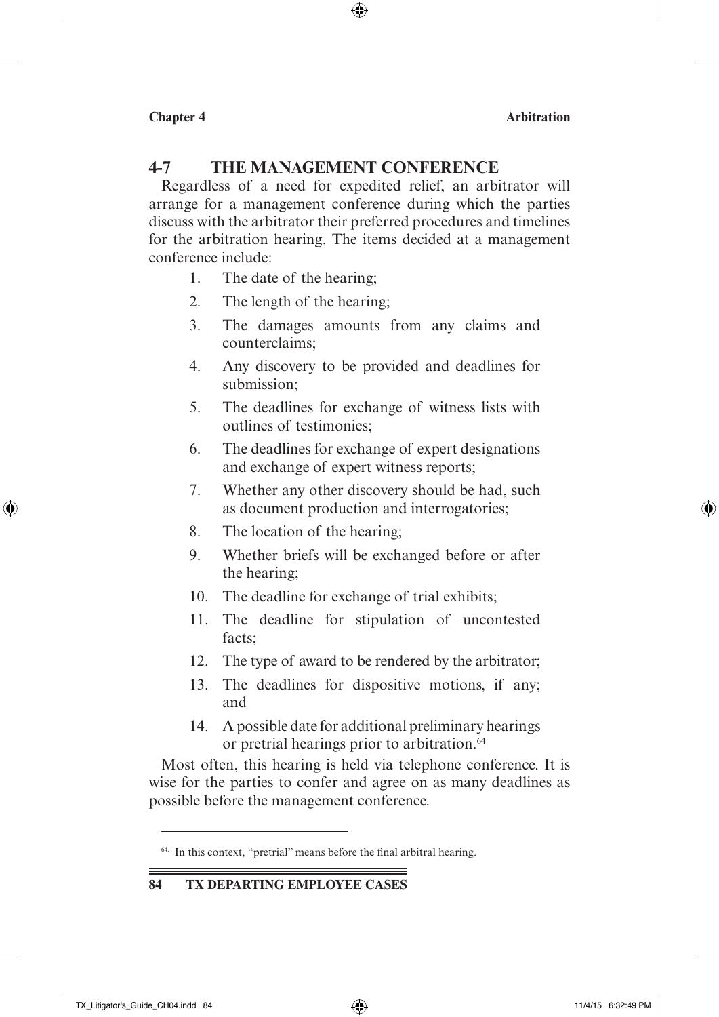# **4-7 The Management Conference**

Regardless of a need for expedited relief, an arbitrator will arrange for a management conference during which the parties discuss with the arbitrator their preferred procedures and timelines for the arbitration hearing. The items decided at a management conference include:

 $\textcircled{\scriptsize{*}}$ 

- 1. The date of the hearing;
- 2. The length of the hearing;
- 3. The damages amounts from any claims and counterclaims;
- 4. Any discovery to be provided and deadlines for submission;
- 5. The deadlines for exchange of witness lists with outlines of testimonies;
- 6. The deadlines for exchange of expert designations and exchange of expert witness reports;
- 7. Whether any other discovery should be had, such as document production and interrogatories;
- 8. The location of the hearing;
- 9. Whether briefs will be exchanged before or after the hearing;
- 10. The deadline for exchange of trial exhibits;
- 11. The deadline for stipulation of uncontested facts;
- 12. The type of award to be rendered by the arbitrator;
- 13. The deadlines for dispositive motions, if any; and
- 14. A possible date for additional preliminary hearings or pretrial hearings prior to arbitration.<sup>64</sup>

Most often, this hearing is held via telephone conference. It is wise for the parties to confer and agree on as many deadlines as possible before the management conference.

### **84 TX Departing Employee Cases**

⊕

↔

<sup>64.</sup> In this context, "pretrial" means before the final arbitral hearing.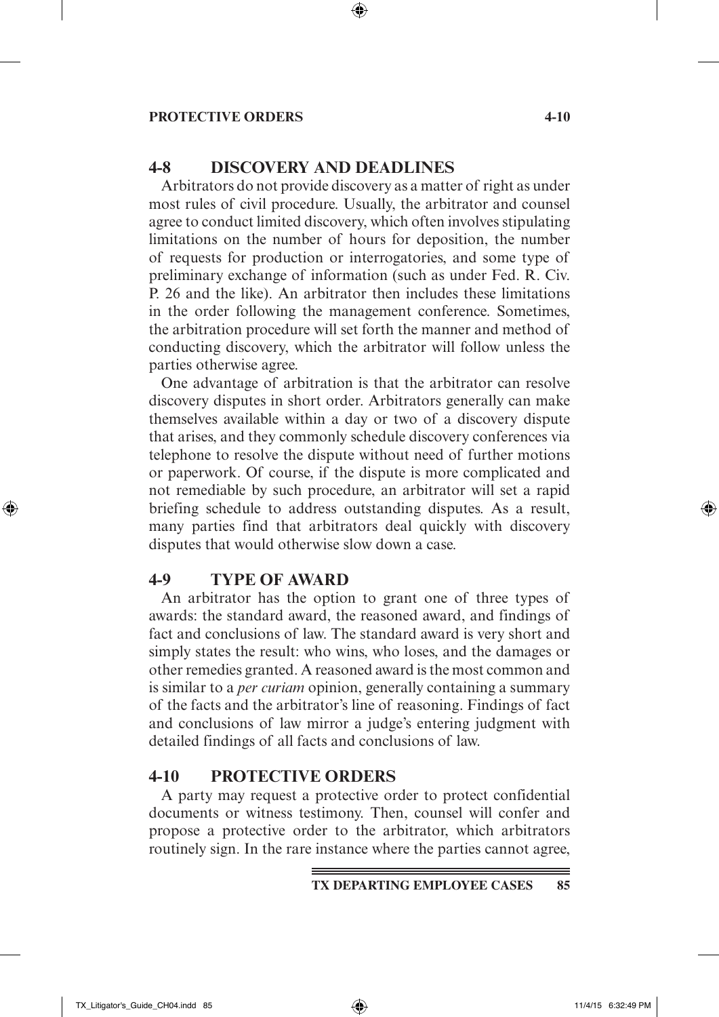### **Protective Orders 4-10**

# **4-8 Discovery and Deadlines**

Arbitrators do not provide discovery as a matter of right as under most rules of civil procedure. Usually, the arbitrator and counsel agree to conduct limited discovery, which often involves stipulating limitations on the number of hours for deposition, the number of requests for production or interrogatories, and some type of preliminary exchange of information (such as under Fed. R. Civ. P. 26 and the like). An arbitrator then includes these limitations in the order following the management conference. Sometimes, the arbitration procedure will set forth the manner and method of conducting discovery, which the arbitrator will follow unless the parties otherwise agree.

 $\textcircled{\scriptsize\textsf{P}}$ 

One advantage of arbitration is that the arbitrator can resolve discovery disputes in short order. Arbitrators generally can make themselves available within a day or two of a discovery dispute that arises, and they commonly schedule discovery conferences via telephone to resolve the dispute without need of further motions or paperwork. Of course, if the dispute is more complicated and not remediable by such procedure, an arbitrator will set a rapid briefing schedule to address outstanding disputes. As a result, many parties find that arbitrators deal quickly with discovery disputes that would otherwise slow down a case.

### **4-9 Type of Award**

An arbitrator has the option to grant one of three types of awards: the standard award, the reasoned award, and findings of fact and conclusions of law. The standard award is very short and simply states the result: who wins, who loses, and the damages or other remedies granted. A reasoned award is the most common and is similar to a *per curiam* opinion, generally containing a summary of the facts and the arbitrator's line of reasoning. Findings of fact and conclusions of law mirror a judge's entering judgment with detailed findings of all facts and conclusions of law.

### **4-10 Protective Orders**

A party may request a protective order to protect confidential documents or witness testimony. Then, counsel will confer and propose a protective order to the arbitrator, which arbitrators routinely sign. In the rare instance where the parties cannot agree,

⊕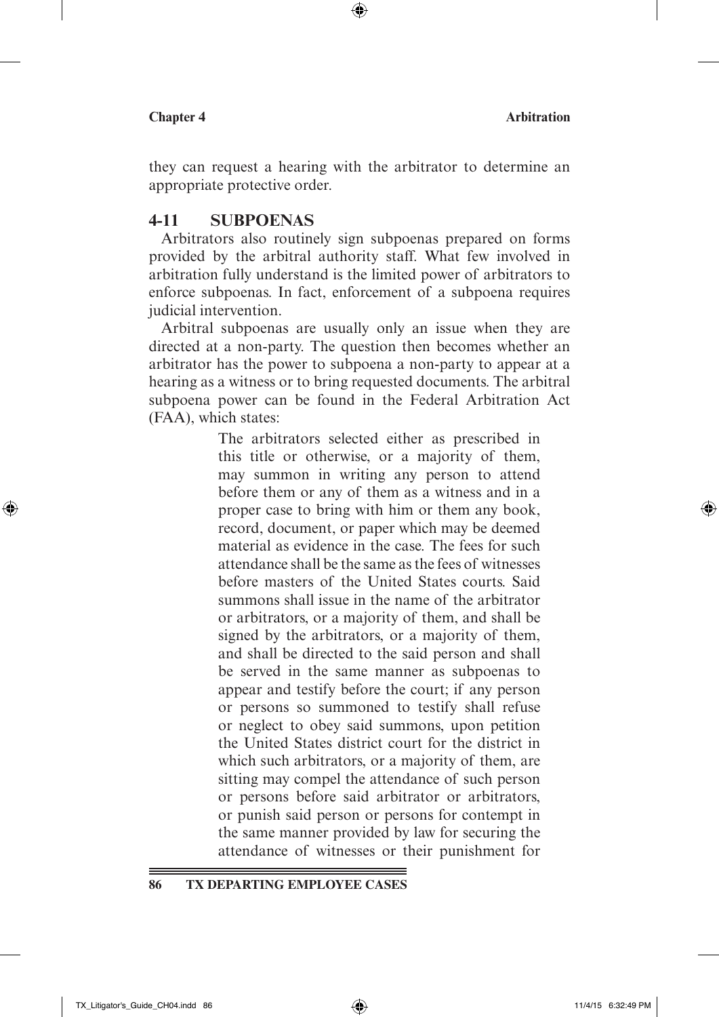they can request a hearing with the arbitrator to determine an appropriate protective order.

 $\textcircled{\scriptsize{+}}$ 

### **4-11 Subpoenas**

Arbitrators also routinely sign subpoenas prepared on forms provided by the arbitral authority staff. What few involved in arbitration fully understand is the limited power of arbitrators to enforce subpoenas. In fact, enforcement of a subpoena requires judicial intervention.

Arbitral subpoenas are usually only an issue when they are directed at a non-party. The question then becomes whether an arbitrator has the power to subpoena a non-party to appear at a hearing as a witness or to bring requested documents. The arbitral subpoena power can be found in the Federal Arbitration Act (FAA), which states:

> The arbitrators selected either as prescribed in this title or otherwise, or a majority of them, may summon in writing any person to attend before them or any of them as a witness and in a proper case to bring with him or them any book, record, document, or paper which may be deemed material as evidence in the case. The fees for such attendance shall be the same as the fees of witnesses before masters of the United States courts. Said summons shall issue in the name of the arbitrator or arbitrators, or a majority of them, and shall be signed by the arbitrators, or a majority of them, and shall be directed to the said person and shall be served in the same manner as subpoenas to appear and testify before the court; if any person or persons so summoned to testify shall refuse or neglect to obey said summons, upon petition the United States district court for the district in which such arbitrators, or a majority of them, are sitting may compel the attendance of such person or persons before said arbitrator or arbitrators, or punish said person or persons for contempt in the same manner provided by law for securing the attendance of witnesses or their punishment for

**86 TX Departing Employee Cases**

⊕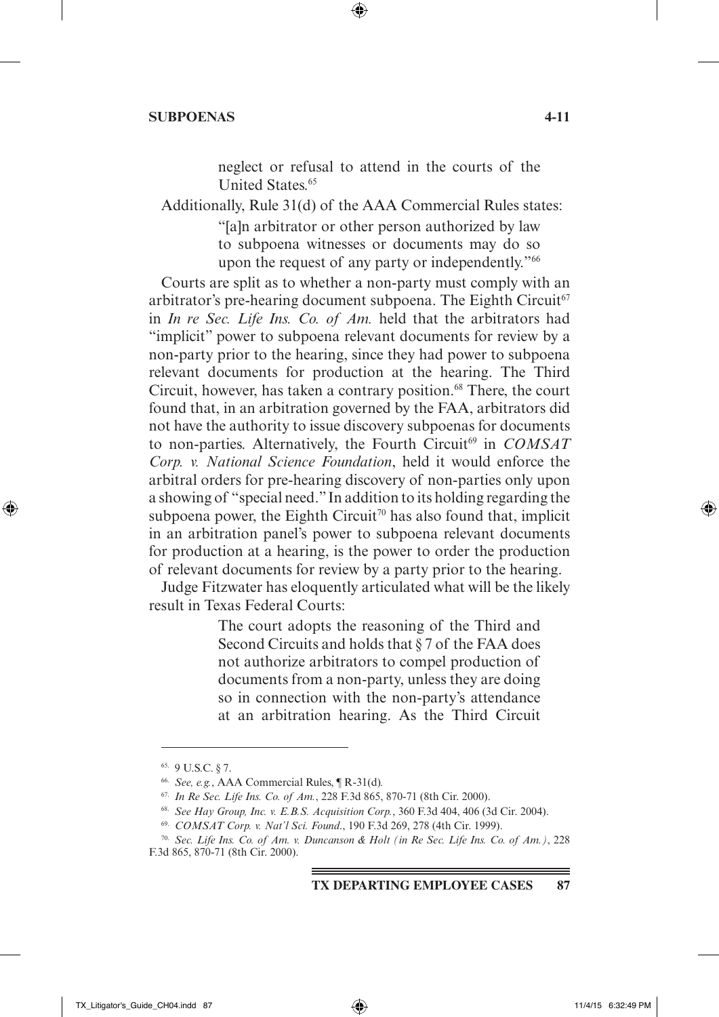### **Subpoenas 4-11**

neglect or refusal to attend in the courts of the United States.<sup>65</sup>

Additionally, Rule 31(d) of the AAA Commercial Rules states:

 $\textcircled{\scriptsize{+}}$ 

"[a]n arbitrator or other person authorized by law to subpoena witnesses or documents may do so upon the request of any party or independently."66

Courts are split as to whether a non-party must comply with an arbitrator's pre-hearing document subpoena. The Eighth Circuit $67$ in *In re Sec. Life Ins. Co. of Am.* held that the arbitrators had "implicit" power to subpoena relevant documents for review by a non-party prior to the hearing, since they had power to subpoena relevant documents for production at the hearing. The Third Circuit, however, has taken a contrary position.<sup>68</sup> There, the court found that, in an arbitration governed by the FAA, arbitrators did not have the authority to issue discovery subpoenas for documents to non-parties. Alternatively, the Fourth Circuit<sup>69</sup> in *COMSAT Corp. v. National Science Foundation*, held it would enforce the arbitral orders for pre-hearing discovery of non-parties only upon a showing of "special need." In addition to its holding regarding the subpoena power, the Eighth Circuit<sup>70</sup> has also found that, implicit in an arbitration panel's power to subpoena relevant documents for production at a hearing, is the power to order the production of relevant documents for review by a party prior to the hearing.

Judge Fitzwater has eloquently articulated what will be the likely result in Texas Federal Courts:

> The court adopts the reasoning of the Third and Second Circuits and holds that § 7 of the FAA does not authorize arbitrators to compel production of documents from a non-party, unless they are doing so in connection with the non-party's attendance at an arbitration hearing. As the Third Circuit

**TX Departing Employee Cases 87**

↔

 $\leftrightarrow$ 

<sup>65.</sup> 9 U.S.C. § 7.

<sup>66.</sup> *See, e.g.*, AAA Commercial Rules, ¶ R-31(d)*.* 

<sup>67.</sup> *In Re Sec. Life Ins. Co. of Am.*, 228 F.3d 865, 870-71 (8th Cir. 2000).

<sup>68.</sup> *See Hay Group, Inc. v. E.B.S. Acquisition Corp.*, 360 F.3d 404, 406 (3d Cir. 2004).

<sup>69.</sup> *COMSAT Corp. v. Nat'l Sci. Found*., 190 F.3d 269, 278 (4th Cir. 1999).

<sup>70.</sup> *Sec. Life Ins. Co. of Am. v. Duncanson & Holt (in Re Sec. Life Ins. Co. of Am.)*, 228 F.3d 865, 870-71 (8th Cir. 2000).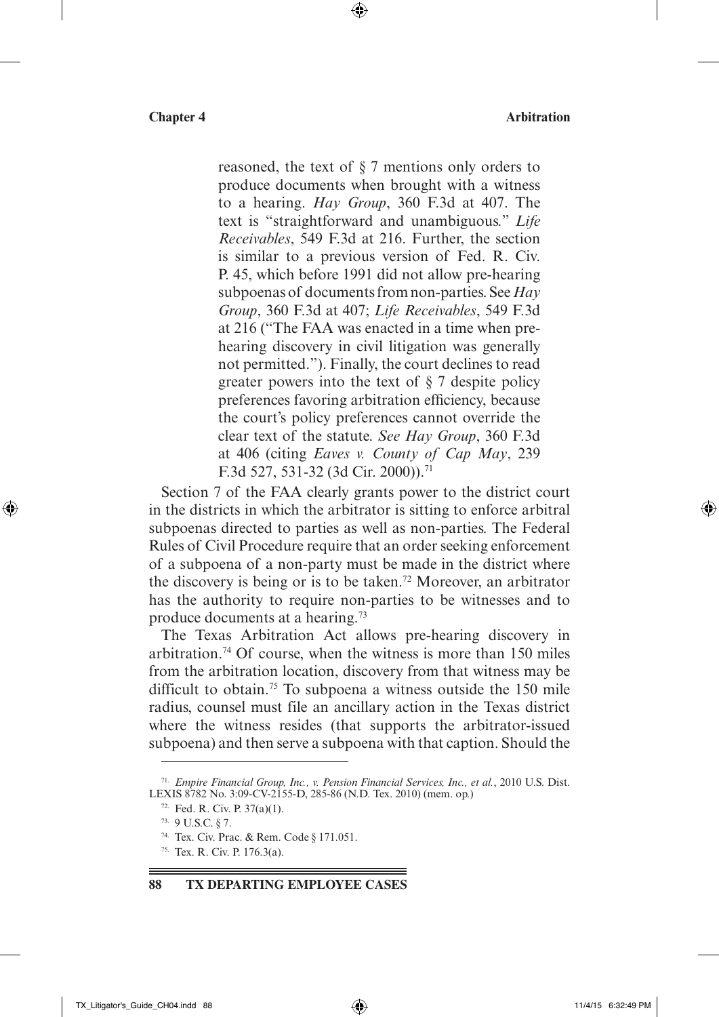reasoned, the text of § 7 mentions only orders to produce documents when brought with a witness to a hearing. *Hay Group*, 360 F.3d at 407. The text is "straightforward and unambiguous." *Life Receivables*, 549 F.3d at 216. Further, the section is similar to a previous version of Fed. R. Civ. P. 45, which before 1991 did not allow pre-hearing subpoenas of documents from non-parties. See *Hay Group*, 360 F.3d at 407; *Life Receivables*, 549 F.3d at 216 ("The FAA was enacted in a time when prehearing discovery in civil litigation was generally not permitted."). Finally, the court declines to read greater powers into the text of § 7 despite policy preferences favoring arbitration efficiency, because the court's policy preferences cannot override the clear text of the statute. *See Hay Group*, 360 F.3d at 406 (citing *Eaves v. County of Cap May*, 239 F.3d 527, 531-32 (3d Cir. 2000)).<sup>71</sup>

 $\textcircled{\scriptsize{+}}$ 

Section 7 of the FAA clearly grants power to the district court in the districts in which the arbitrator is sitting to enforce arbitral subpoenas directed to parties as well as non-parties. The Federal Rules of Civil Procedure require that an order seeking enforcement of a subpoena of a non-party must be made in the district where the discovery is being or is to be taken.72 Moreover, an arbitrator has the authority to require non-parties to be witnesses and to produce documents at a hearing.73

The Texas Arbitration Act allows pre-hearing discovery in arbitration.74 Of course, when the witness is more than 150 miles from the arbitration location, discovery from that witness may be difficult to obtain.<sup>75</sup> To subpoena a witness outside the 150 mile radius, counsel must file an ancillary action in the Texas district where the witness resides (that supports the arbitrator-issued subpoena) and then serve a subpoena with that caption. Should the

73. 9 U.S.C. § 7.

**88 TX Departing Employee Cases**

↔

<sup>71.</sup> *Empire Financial Group, Inc., v. Pension Financial Services, Inc., et al.*, 2010 U.S. Dist. LEXIS 8782 No. 3:09-CV-2155-D, 285-86 (N.D. Tex. 2010) (mem. op.)

<sup>72.</sup> Fed. R. Civ. P. 37(a)(1).

<sup>74.</sup> Tex. Civ. Prac. & Rem. Code § 171.051.

<sup>75.</sup> Tex. R. Civ. P. 176.3(a).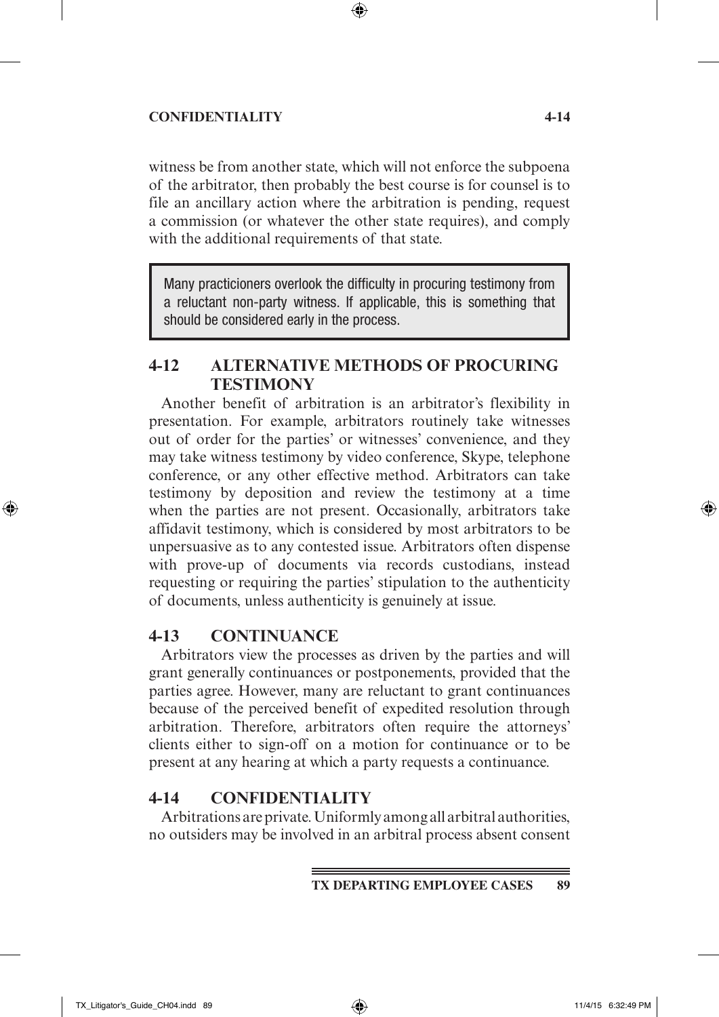### **Confidentiality 4-14**

witness be from another state, which will not enforce the subpoena of the arbitrator, then probably the best course is for counsel is to file an ancillary action where the arbitration is pending, request a commission (or whatever the other state requires), and comply with the additional requirements of that state.

 $\textcircled{\scriptsize{*}}$ 

Many practicioners overlook the difficulty in procuring testimony from a reluctant non-party witness. If applicable, this is something that should be considered early in the process.

# **4-12 Alternative Methods of Procuring Testimony**

Another benefit of arbitration is an arbitrator's flexibility in presentation. For example, arbitrators routinely take witnesses out of order for the parties' or witnesses' convenience, and they may take witness testimony by video conference, Skype, telephone conference, or any other effective method. Arbitrators can take testimony by deposition and review the testimony at a time when the parties are not present. Occasionally, arbitrators take affidavit testimony, which is considered by most arbitrators to be unpersuasive as to any contested issue. Arbitrators often dispense with prove-up of documents via records custodians, instead requesting or requiring the parties' stipulation to the authenticity of documents, unless authenticity is genuinely at issue.

# **4-13 Continuance**

Arbitrators view the processes as driven by the parties and will grant generally continuances or postponements, provided that the parties agree. However, many are reluctant to grant continuances because of the perceived benefit of expedited resolution through arbitration. Therefore, arbitrators often require the attorneys' clients either to sign-off on a motion for continuance or to be present at any hearing at which a party requests a continuance.

### **4-14 Confidentiality**

Arbitrations are private. Uniformly among all arbitral authorities, no outsiders may be involved in an arbitral process absent consent

⊕